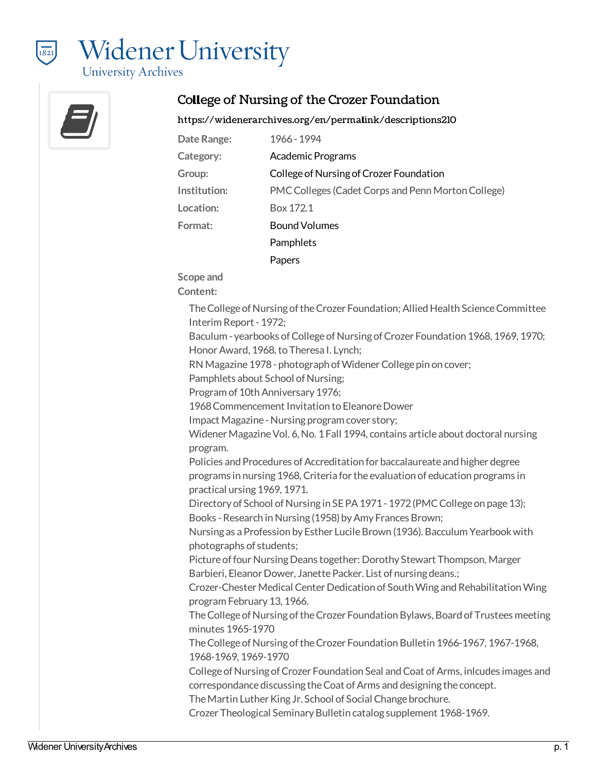



### College of Nursing of the Crozer Foundation

<https://widenerarchives.org/en/permalink/descriptions210>

| Date Range:  | 1966 - 1994                                        |
|--------------|----------------------------------------------------|
| Category:    | <b>Academic Programs</b>                           |
| Group:       | College of Nursing of Crozer Foundation            |
| Institution: | PMC Colleges (Cadet Corps and Penn Morton College) |
| Location:    | Box 172.1                                          |
| Format:      | <b>Bound Volumes</b>                               |
|              | Pamphlets                                          |
|              | Papers                                             |

**Scope and**

**Content:**

The College of Nursing of the Crozer Foundation; Allied Health Science Committee InterimReport- 1972;

Baculum - yearbooks of College of Nursing of Crozer Foundation 1968, 1969, 1970; Honor Award, 1968, to Theresa I. Lynch;

RN Magazine 1978 - photograph of Widener College pin on cover;

Pamphlets about School of Nursing;

Program of 10th Anniversary 1976;

1968 Commencement Invitation to Eleanore Dower

Impact Magazine - Nursing program cover story;

Widener Magazine Vol. 6, No. 1 Fall 1994, contains article about doctoral nursing program.

Policies and Procedures of Accreditation for baccalaureate and higher degree programs in nursing 1968, Criteria for the evaluation of education programs in practical ursing 1969, 1971.

Directory of School of Nursing in SE PA 1971 - 1972 (PMC College on page 13); Books-Research inNursing (1958) byAmy Frances Brown;

Nursing as a Profession by Esther Lucile Brown (1936). Bacculum Yearbook with photographs of students;

Picture of four Nursing Deans together: Dorothy Stewart Thompson, Marger Barbieri, Eleanor Dower, Janette Packer. List of nursing deans.;

Crozer-Chester Medical Center Dedication of South Wing and Rehabilitation Wing program February 13, 1966.

The College of Nursing of the Crozer Foundation Bylaws, Board of Trustees meeting minutes 1965-1970

The College of Nursing of the Crozer Foundation Bulletin 1966-1967, 1967-1968, 1968-1969, 1969-1970

College of Nursing of Crozer Foundation Seal and Coat of Arms, inlcudes images and correspondance discussing the Coat of Arms and designing the concept.

The Martin Luther King Jr. School of Social Change brochure.

Crozer Theological Seminary Bulletin catalog supplement 1968-1969.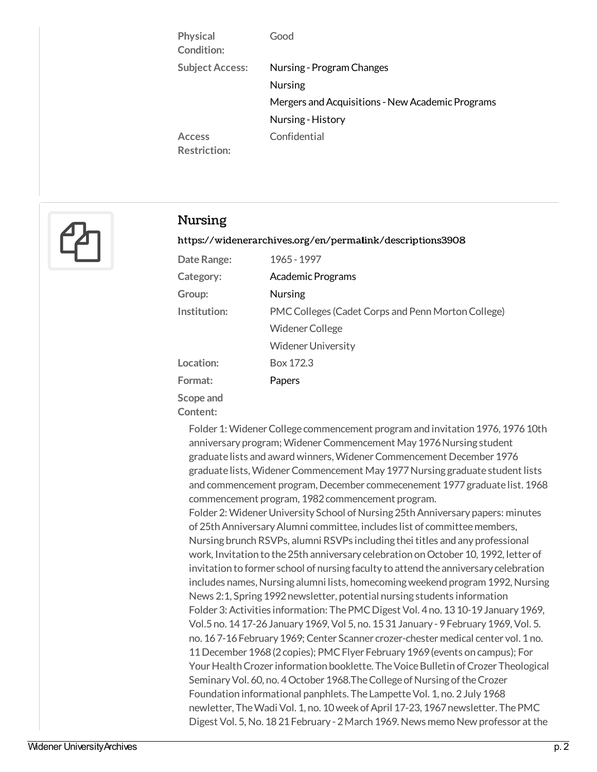| Physical<br>Condition:               | Good                                             |
|--------------------------------------|--------------------------------------------------|
| <b>Subject Access:</b>               | Nursing - Program Changes                        |
|                                      | <b>Nursing</b>                                   |
|                                      | Mergers and Acquisitions - New Academic Programs |
|                                      | Nursing - History                                |
| <b>Access</b><br><b>Restriction:</b> | Confidential                                     |



### Nursing

#### <https://widenerarchives.org/en/permalink/descriptions3908>

| Date Range:           | 1965 - 1997                                        |
|-----------------------|----------------------------------------------------|
| Category:             | <b>Academic Programs</b>                           |
| Group:                | <b>Nursing</b>                                     |
| Institution:          | PMC Colleges (Cadet Corps and Penn Morton College) |
|                       | Widener College                                    |
|                       | <b>Widener University</b>                          |
| Location:             | Box 172.3                                          |
| Format:               | Papers                                             |
| Scope and<br>Content: |                                                    |

Folder 1: Widener College commencement program and invitation 1976, 1976 10th anniversary program; Widener Commencement May 1976 Nursing student graduate lists and award winners, Widener Commencement December 1976 graduate lists, Widener Commencement May 1977 Nursing graduate student lists and commencement program, December commecenement 1977 graduate list. 1968 commencement program, 1982 commencement program. Folder 2: Widener University School of Nursing 25th Anniversary papers: minutes of 25th Anniversary Alumni committee, includes list of committee members, Nursing brunch RSVPs, alumni RSVPs including thei titles and any professional work, Invitation to the 25th anniversary celebration on October 10, 1992, letter of invitation to former school of nursing faculty to attend the anniversary celebration includes names, Nursing alumni lists, homecoming weekend program 1992, Nursing

News 2:1, Spring 1992 newsletter, potential nursing students information Folder 3: Activities information: The PMC Digest Vol. 4 no. 13 10-19 January 1969, Vol.5no. 1417-26January 1969, Vol 5, no. 1531January - 9February 1969, Vol. 5. no. 167-16 February 1969; Center Scanner crozer-chester medical center vol. 1 no. 11December 1968(2copies); PMCFlyer February 1969(events on campus); For Your Health Crozer information booklette. The Voice Bulletin of Crozer Theological Seminary Vol. 60, no. 4 October 1968. The College of Nursing of the Crozer Foundation informational panphlets. The Lampette Vol. 1, no. 2 July 1968 newletter, The Wadi Vol. 1, no. 10 week of April 17-23, 1967 newsletter. The PMC Digest Vol. 5, No. 1821 February - 2 March 1969. News memo New professor at the

CollegeofNursing,JoanM. Collinswill beAssistant Professor of PediatricNursing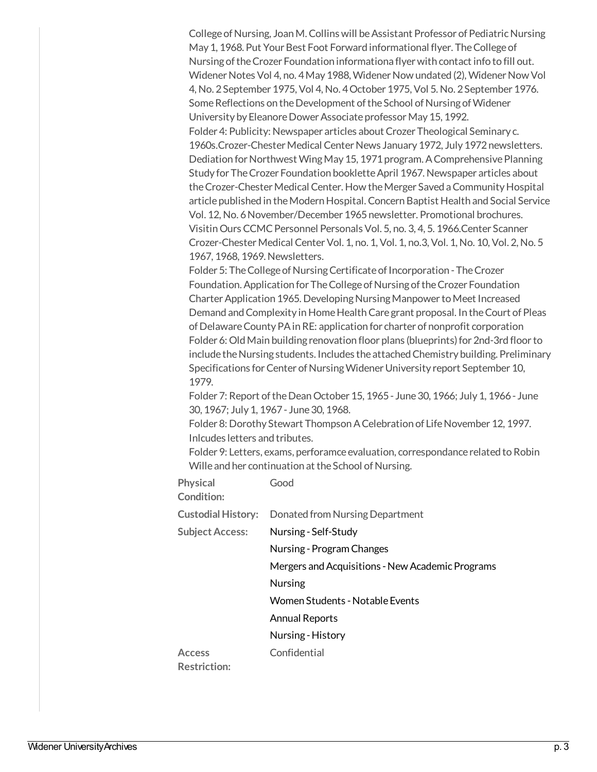College of Nursing, Joan M. Collins will be Assistant Professor of Pediatric Nursing May 1, 1968. Put Your Best Foot Forward informational flyer. The College of Nursing of the Crozer Foundation informationa flyer with contact info to fill out. Widener Notes Vol 4, no. 4 May 1988, Widener Now undated (2), Widener Now Vol 4,No. 2September 1975, Vol 4,No. 4October 1975, Vol 5.No. 2September 1976. Some Reflections on the Development of the School of Nursing of Widener University by Eleanore Dower Associate professor May 15, 1992. Folder 4: Publicity: Newspaper articles about Crozer Theological Seminary c. 1960s.Crozer-Chester Medical Center News January 1972, July 1972 newsletters. Dediation for Northwest Wing May 15, 1971 program. A Comprehensive Planning Study for The Crozer Foundation booklette April 1967. Newspaper articles about the Crozer-Chester Medical Center. How the Merger Saved a Community Hospital article published in the Modern Hospital. Concern Baptist Health and Social Service Vol. 12,No. 6November/December 1965newsletter. Promotional brochures. VisitinOurs CCMCPersonnel Personals Vol. 5, no. 3, 4, 5. 1966.Center Scanner Crozer-ChesterMedical CenterVol. 1, no. 1, Vol. 1, no.3, Vol. 1,No. 10, Vol. 2,No. 5 1967, 1968, 1969.Newsletters.

Folder 5: The College of Nursing Certificate of Incorporation - The Crozer Foundation. Application for The College of Nursing of the Crozer Foundation Charter Application 1965. Developing Nursing Manpower to Meet Increased Demand and Complexity in Home Health Care grant proposal. In the Court of Pleas of Delaware County PA in RE: application for charter of nonprofit corporation Folder 6: Old Main building renovation floor plans (blueprints) for 2nd-3rd floor to include the Nursing students. Includes the attached Chemistry building. Preliminary Specifications for Center of Nursing Widener University report September 10, 1979.

Folder 7: Report of the Dean October 15, 1965 - June 30, 1966; July 1, 1966 - June 30, 1967; July 1, 1967 - June 30, 1968.

Folder 8: Dorothy Stewart Thompson A Celebration of Life November 12, 1997. Inlcudesletters and tributes.

Folder 9: Letters, exams, perforamce evaluation, correspondance related to Robin Wille and her continuation at the School of Nursing.

| <b>Physical</b>           | Good                                             |
|---------------------------|--------------------------------------------------|
| Condition:                |                                                  |
| <b>Custodial History:</b> | Donated from Nursing Department                  |
| <b>Subject Access:</b>    | Nursing - Self-Study                             |
|                           | Nursing - Program Changes                        |
|                           | Mergers and Acquisitions - New Academic Programs |
|                           | <b>Nursing</b>                                   |
|                           | Women Students - Notable Events                  |
|                           | <b>Annual Reports</b>                            |
|                           | Nursing - History                                |
| <b>Access</b>             | Confidential                                     |

**Restriction:**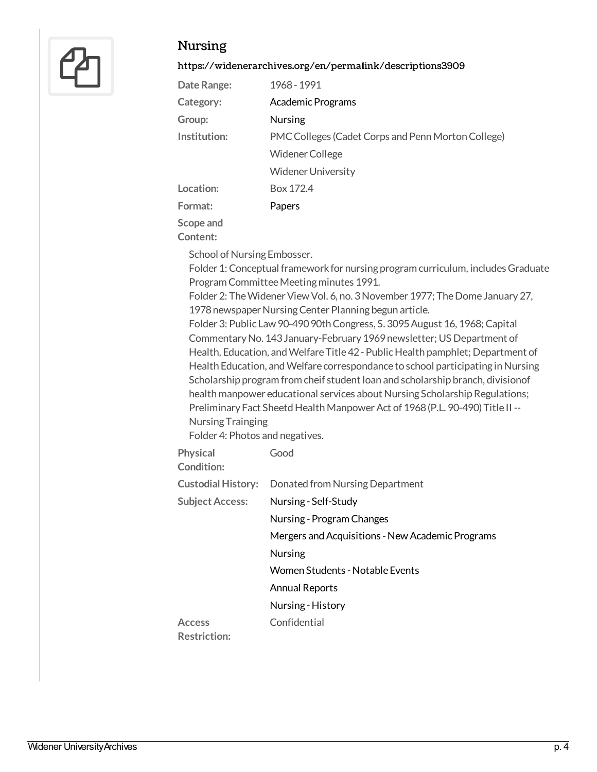

## Nursing

#### <https://widenerarchives.org/en/permalink/descriptions3909>

| Date Range:  | 1968 - 1991                                        |
|--------------|----------------------------------------------------|
| Category:    | <b>Academic Programs</b>                           |
| Group:       | <b>Nursing</b>                                     |
| Institution: | PMC Colleges (Cadet Corps and Penn Morton College) |
|              | <b>Widener College</b>                             |
|              | <b>Widener University</b>                          |
| Location:    | Box 172.4                                          |
| Format:      | Papers                                             |
| Scope and    |                                                    |

**Content:**

School of Nursing Embosser.

Folder 1: Conceptual framework for nursing program curriculum, includes Graduate Program Committee Meeting minutes 1991.

Folder 2: The Widener View Vol. 6, no. 3 November 1977; The Dome January 27, 1978 newspaper Nursing Center Planning begun article.

Folder 3: Public Law 90-490 90th Congress, S. 3095 August 16, 1968; Capital Commentary No. 143 January-February 1969 newsletter; US Department of Health, Education, and Welfare Title 42 - Public Health pamphlet; Department of Health Education, and Welfare correspondance to school participating in Nursing Scholarship program from cheif student loan and scholarship branch, divisionof health manpower educational services about Nursing Scholarship Regulations; Preliminary Fact Sheetd Health Manpower Act of 1968 (P.L. 90-490) Title II --Nursing Trainging

Folder 4: Photos and negatives.

| <b>Physical</b><br>Condition: | Good                                             |
|-------------------------------|--------------------------------------------------|
| <b>Custodial History:</b>     | Donated from Nursing Department                  |
| <b>Subject Access:</b>        | Nursing - Self-Study                             |
|                               | Nursing - Program Changes                        |
|                               | Mergers and Acquisitions - New Academic Programs |
|                               | <b>Nursing</b>                                   |
|                               | Women Students - Notable Events                  |
|                               | <b>Annual Reports</b>                            |
|                               | Nursing - History                                |
| <b>Access</b>                 | Confidential                                     |

**Restriction:**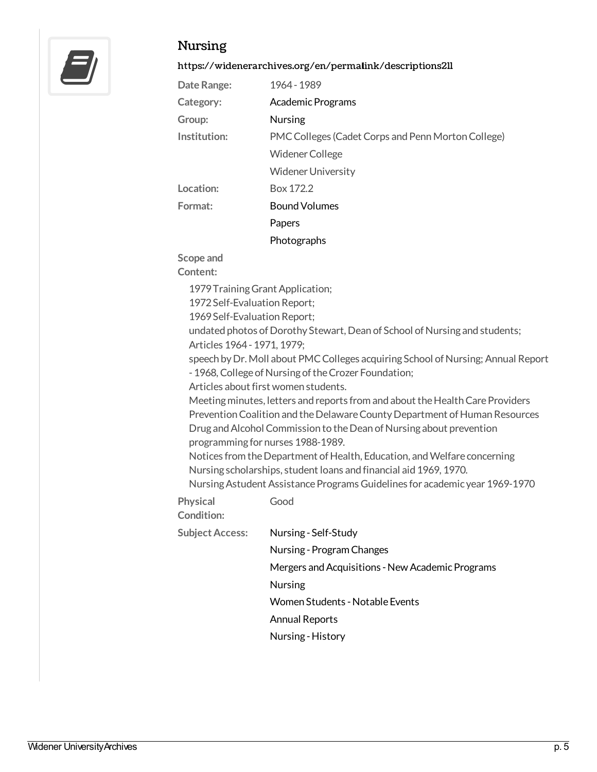

## Nursing

#### <https://widenerarchives.org/en/permalink/descriptions211>

| Date Range:  | 1964 - 1989                                        |
|--------------|----------------------------------------------------|
| Category:    | <b>Academic Programs</b>                           |
| Group:       | <b>Nursing</b>                                     |
| Institution: | PMC Colleges (Cadet Corps and Penn Morton College) |
|              | Widener College                                    |
|              | <b>Widener University</b>                          |
| Location:    | Box 172.2                                          |
| Format:      | <b>Bound Volumes</b>                               |
|              | Papers                                             |
|              | Photographs                                        |

**Scope and**

**Content:**

1979TrainingGrant Application;

1972 Self-Evaluation Report;

1969 Self-Evaluation Report;

undated photos of Dorothy Stewart, Dean of School of Nursing and students; Articles 1964- 1971, 1979;

speech by Dr. Moll about PMC Colleges acquiring School of Nursing; Annual Report - 1968, College of Nursing of the Crozer Foundation;

Articles about first women students.

Meeting minutes, letters and reports from and about the Health Care Providers Prevention Coalition and the Delaware County Department of Human Resources Drug and Alcohol Commission to the Dean of Nursing about prevention programming for nurses 1988-1989.

Notices from the Department of Health, Education, and Welfare concerning Nursing scholarships, student loans and financial aid 1969, 1970.

Nursing Astudent Assistance Programs Guidelines for academic year 1969-1970

**Physical Condition:** Good

**SubjectAccess:** Nursing - [Self-Study](https://widenerarchives.org/en/list?q=topic%253a%2522Nursing+-+Self-Study%2522&p=1&ps=&sort=title_sort+asc)

| Nursing - Program Changes |  |
|---------------------------|--|
|---------------------------|--|

Mergers and Acquisitions - New Academic Programs

[Nursing](https://widenerarchives.org/en/list?q=topic%253a%2522Nursing%2522&p=1&ps=&sort=title_sort+asc)

Women Students - Notable Events

Annual [Reports](https://widenerarchives.org/en/list?q=topic%253a%2522Annual+Reports%2522&p=1&ps=&sort=title_sort+asc)

Nursing [-History](https://widenerarchives.org/en/list?q=topic%253a%2522Nursing+-+History%2522&p=1&ps=&sort=title_sort+asc)